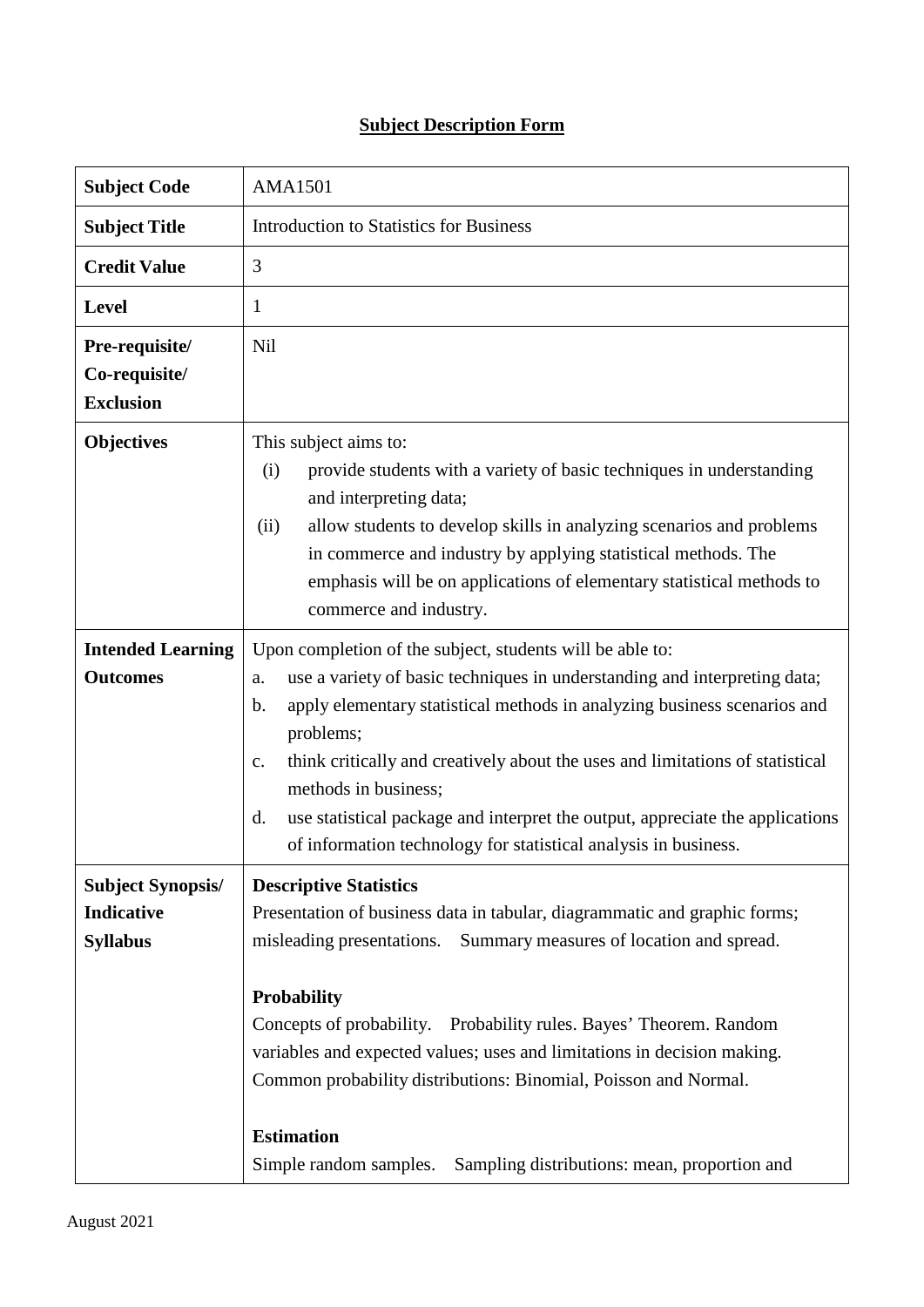## **Subject Description Form**

| <b>Subject Code</b>                                              | <b>AMA1501</b>                                                                                                                                                                                                                                                                                                                                                                                                                                                                                                                             |  |  |  |
|------------------------------------------------------------------|--------------------------------------------------------------------------------------------------------------------------------------------------------------------------------------------------------------------------------------------------------------------------------------------------------------------------------------------------------------------------------------------------------------------------------------------------------------------------------------------------------------------------------------------|--|--|--|
| <b>Subject Title</b>                                             | <b>Introduction to Statistics for Business</b>                                                                                                                                                                                                                                                                                                                                                                                                                                                                                             |  |  |  |
| <b>Credit Value</b>                                              | 3                                                                                                                                                                                                                                                                                                                                                                                                                                                                                                                                          |  |  |  |
| <b>Level</b>                                                     | $\mathbf{1}$                                                                                                                                                                                                                                                                                                                                                                                                                                                                                                                               |  |  |  |
| Pre-requisite/<br>Co-requisite/<br><b>Exclusion</b>              | <b>Nil</b>                                                                                                                                                                                                                                                                                                                                                                                                                                                                                                                                 |  |  |  |
| <b>Objectives</b>                                                | This subject aims to:<br>provide students with a variety of basic techniques in understanding<br>(i)<br>and interpreting data;<br>(ii)<br>allow students to develop skills in analyzing scenarios and problems<br>in commerce and industry by applying statistical methods. The<br>emphasis will be on applications of elementary statistical methods to<br>commerce and industry.                                                                                                                                                         |  |  |  |
| <b>Intended Learning</b><br><b>Outcomes</b>                      | Upon completion of the subject, students will be able to:<br>use a variety of basic techniques in understanding and interpreting data;<br>a.<br>apply elementary statistical methods in analyzing business scenarios and<br>$\mathbf b$ .<br>problems;<br>think critically and creatively about the uses and limitations of statistical<br>$C_{\bullet}$<br>methods in business;<br>use statistical package and interpret the output, appreciate the applications<br>d.<br>of information technology for statistical analysis in business. |  |  |  |
| <b>Subject Synopsis/</b><br><b>Indicative</b><br><b>Syllabus</b> | <b>Descriptive Statistics</b><br>Presentation of business data in tabular, diagrammatic and graphic forms;<br>Summary measures of location and spread.<br>misleading presentations.<br><b>Probability</b><br>Concepts of probability. Probability rules. Bayes' Theorem. Random<br>variables and expected values; uses and limitations in decision making.<br>Common probability distributions: Binomial, Poisson and Normal.<br><b>Estimation</b><br>Sampling distributions: mean, proportion and<br>Simple random samples.               |  |  |  |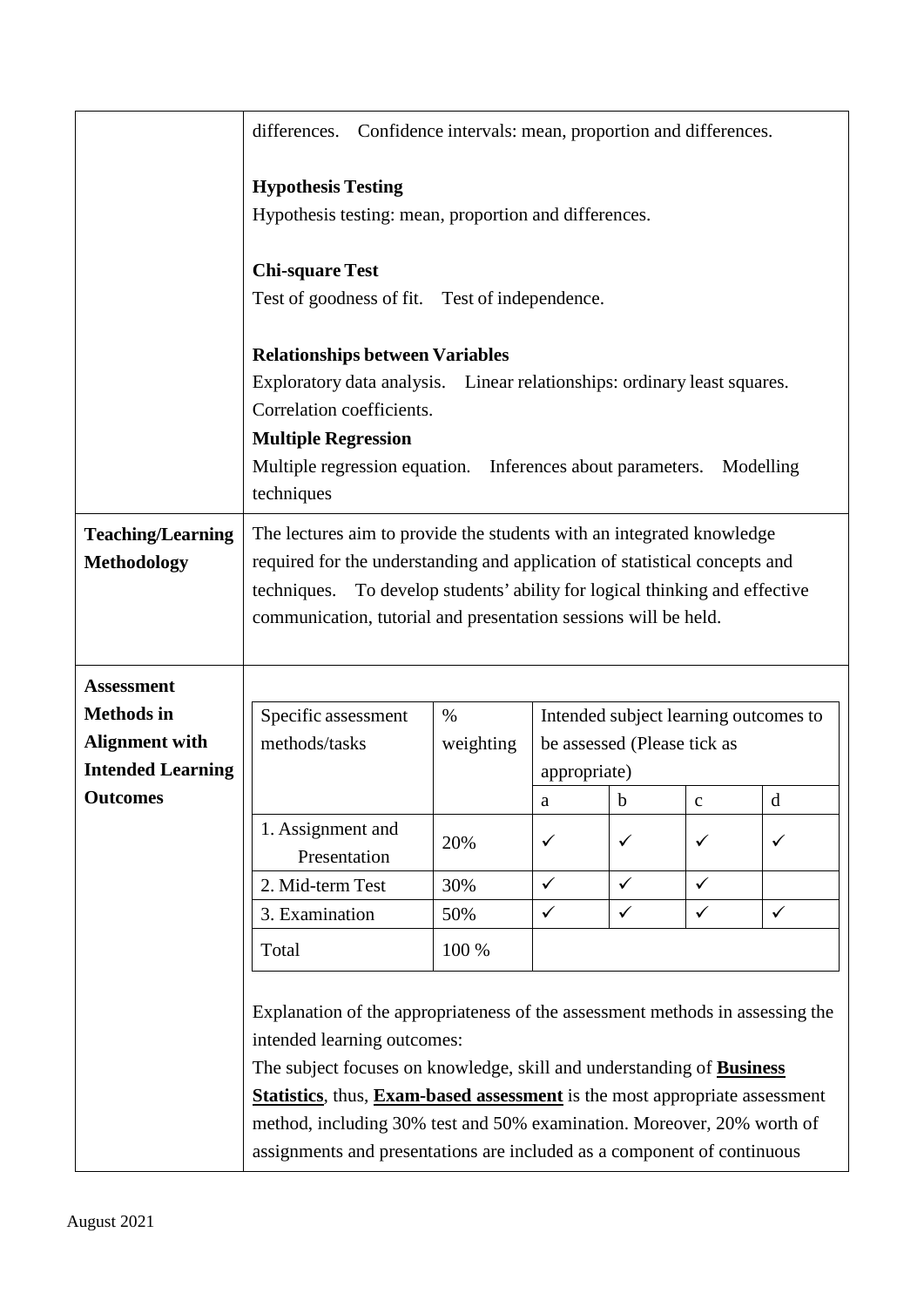|                          | Confidence intervals: mean, proportion and differences.<br>differences.                                                                                             |           |                                       |              |               |              |  |
|--------------------------|---------------------------------------------------------------------------------------------------------------------------------------------------------------------|-----------|---------------------------------------|--------------|---------------|--------------|--|
|                          | <b>Hypothesis Testing</b>                                                                                                                                           |           |                                       |              |               |              |  |
|                          | Hypothesis testing: mean, proportion and differences.                                                                                                               |           |                                       |              |               |              |  |
|                          | <b>Chi-square Test</b>                                                                                                                                              |           |                                       |              |               |              |  |
|                          | Test of goodness of fit. Test of independence.<br><b>Relationships between Variables</b>                                                                            |           |                                       |              |               |              |  |
|                          |                                                                                                                                                                     |           |                                       |              |               |              |  |
|                          | Exploratory data analysis. Linear relationships: ordinary least squares.                                                                                            |           |                                       |              |               |              |  |
|                          | Correlation coefficients.<br><b>Multiple Regression</b>                                                                                                             |           |                                       |              |               |              |  |
|                          |                                                                                                                                                                     |           |                                       |              |               |              |  |
|                          | Multiple regression equation. Inferences about parameters.<br>Modelling                                                                                             |           |                                       |              |               |              |  |
|                          | techniques                                                                                                                                                          |           |                                       |              |               |              |  |
| <b>Teaching/Learning</b> | The lectures aim to provide the students with an integrated knowledge                                                                                               |           |                                       |              |               |              |  |
| <b>Methodology</b>       | required for the understanding and application of statistical concepts and                                                                                          |           |                                       |              |               |              |  |
|                          | techniques. To develop students' ability for logical thinking and effective                                                                                         |           |                                       |              |               |              |  |
|                          | communication, tutorial and presentation sessions will be held.                                                                                                     |           |                                       |              |               |              |  |
|                          |                                                                                                                                                                     |           |                                       |              |               |              |  |
| <b>Assessment</b>        |                                                                                                                                                                     |           |                                       |              |               |              |  |
| <b>Methods</b> in        | Specific assessment                                                                                                                                                 | $\%$      | Intended subject learning outcomes to |              |               |              |  |
| <b>Alignment with</b>    | methods/tasks                                                                                                                                                       | weighting | be assessed (Please tick as           |              |               |              |  |
| <b>Intended Learning</b> |                                                                                                                                                                     |           | appropriate)                          |              |               |              |  |
| <b>Outcomes</b>          |                                                                                                                                                                     |           | a                                     | $\mathbf b$  | $\mathcal{C}$ | d            |  |
|                          | 1. Assignment and                                                                                                                                                   |           | ✓                                     | $\checkmark$ | $\checkmark$  |              |  |
|                          | Presentation                                                                                                                                                        | 20%       |                                       |              |               | ✓            |  |
|                          | 2. Mid-term Test                                                                                                                                                    | 30%       | $\checkmark$                          | $\checkmark$ | $\checkmark$  |              |  |
|                          | 3. Examination                                                                                                                                                      | 50%       | $\checkmark$                          | $\checkmark$ | $\checkmark$  | $\checkmark$ |  |
|                          | Total                                                                                                                                                               | 100 %     |                                       |              |               |              |  |
|                          |                                                                                                                                                                     |           |                                       |              |               |              |  |
|                          | Explanation of the appropriateness of the assessment methods in assessing the                                                                                       |           |                                       |              |               |              |  |
|                          | intended learning outcomes:                                                                                                                                         |           |                                       |              |               |              |  |
|                          | The subject focuses on knowledge, skill and understanding of <b>Business</b>                                                                                        |           |                                       |              |               |              |  |
|                          | <b>Statistics</b> , thus, <b>Exam-based assessment</b> is the most appropriate assessment<br>method, including 30% test and 50% examination. Moreover, 20% worth of |           |                                       |              |               |              |  |
|                          |                                                                                                                                                                     |           |                                       |              |               |              |  |
|                          | assignments and presentations are included as a component of continuous                                                                                             |           |                                       |              |               |              |  |